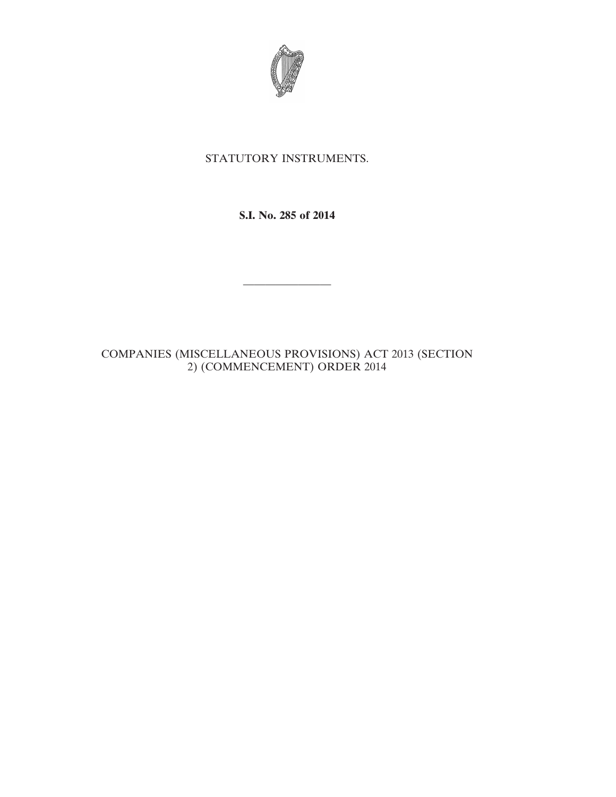

## STATUTORY INSTRUMENTS.

**S.I. No. 285 of 2014**

————————

COMPANIES (MISCELLANEOUS PROVISIONS) ACT 2013 (SECTION 2) (COMMENCEMENT) ORDER 2014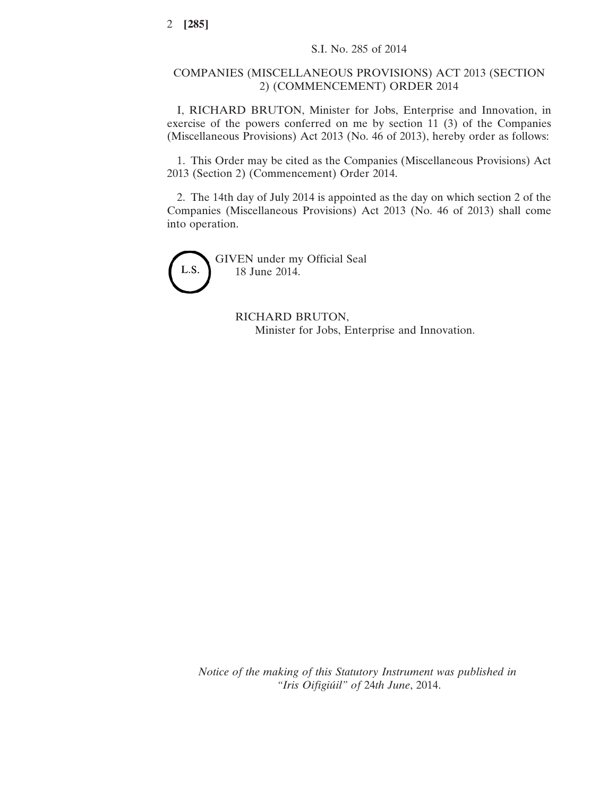## COMPANIES (MISCELLANEOUS PROVISIONS) ACT 2013 (SECTION 2) (COMMENCEMENT) ORDER 2014

I, RICHARD BRUTON, Minister for Jobs, Enterprise and Innovation, in exercise of the powers conferred on me by section 11 (3) of the Companies (Miscellaneous Provisions) Act 2013 (No. 46 of 2013), hereby order as follows:

1. This Order may be cited as the Companies (Miscellaneous Provisions) Act 2013 (Section 2) (Commencement) Order 2014.

2. The 14th day of July 2014 is appointed as the day on which section 2 of the Companies (Miscellaneous Provisions) Act 2013 (No. 46 of 2013) shall come into operation.

L.S.

GIVEN under my Official Seal 18 June 2014.

> RICHARD BRUTON, Minister for Jobs, Enterprise and Innovation.

*Notice of the making of this Statutory Instrument was published in "Iris Oifigiúil" of* 24*th June*, 2014.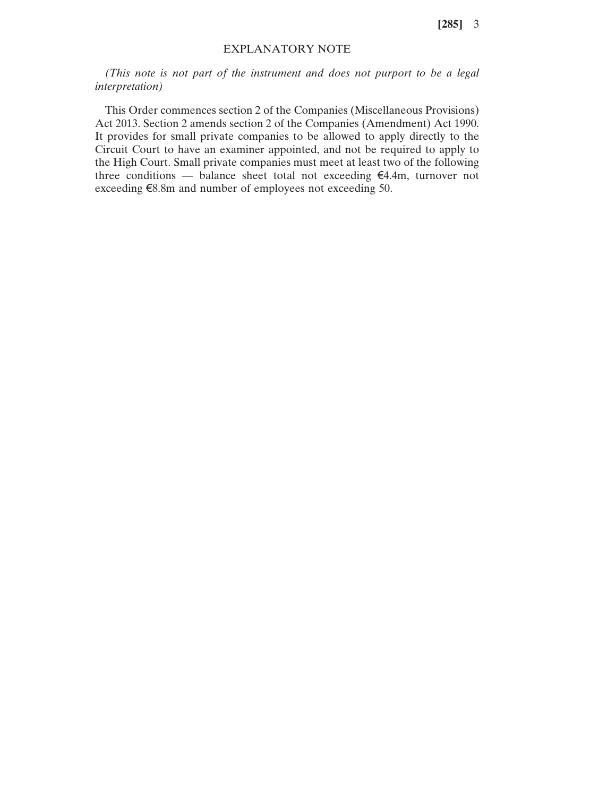**[285]** 3

## EXPLANATORY NOTE

*(This note is not part of the instrument and does not purport to be a legal interpretation)*

This Order commences section 2 of the Companies (Miscellaneous Provisions) Act 2013. Section 2 amends section 2 of the Companies (Amendment) Act 1990. It provides for small private companies to be allowed to apply directly to the Circuit Court to have an examiner appointed, and not be required to apply to the High Court. Small private companies must meet at least two of the following three conditions — balance sheet total not exceeding €4.4m, turnover not exceeding €8.8m and number of employees not exceeding 50.